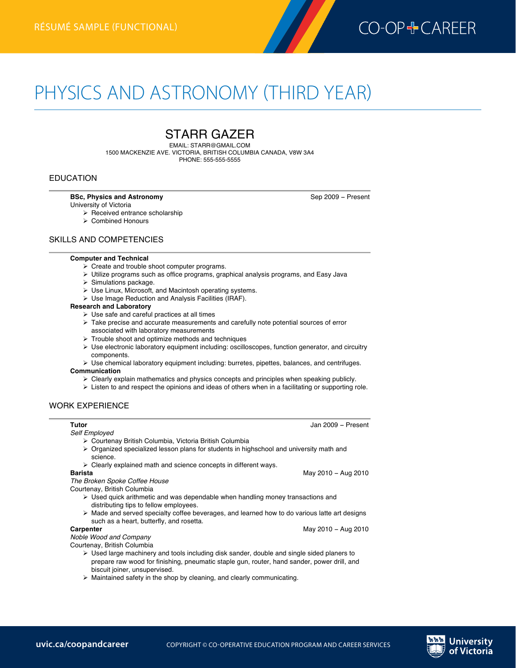

# PHYSICS AND ASTRONOMY (THIRD YEAR)

## STARR GAZER

EMAIL: STARR@GMAIL.COM 1500 MACKENZIE AVE. VICTORIA, BRITISH COLUMBIA CANADA, V8W 3A4 PHONE: 555-555-5555

#### EDUCATION

**Physics and Astronomyrésumé (third year)—functional**

#### **BSc, Physics and Astronomy Sep 2009 - Present**

**Barista** May 2010 − Aug 2010

**Carpenter** May 2010 − Aug 2010

- University of Victoria  $\triangleright$  Received entrance scholarship
	- $\triangleright$  Combined Honours

#### SKILLS AND COMPETENCIES

#### **Computer and Technical**

- $\triangleright$  Create and trouble shoot computer programs.
- $\triangleright$  Utilize programs such as office programs, graphical analysis programs, and Easy Java
- $\triangleright$  Simulations package.
- $\triangleright$  Use Linux, Microsoft, and Macintosh operating systems.
- $\triangleright$  Use Image Reduction and Analysis Facilities (IRAF).

#### **Research and Laboratory**

- $\triangleright$  Use safe and careful practices at all times
- $\triangleright$  Take precise and accurate measurements and carefully note potential sources of error associated with laboratory measurements
- $\triangleright$  Trouble shoot and optimize methods and techniques
- $\triangleright$  Use electronic laboratory equipment including: oscilloscopes, function generator, and circuitry components.
- $\triangleright$  Use chemical laboratory equipment including: burretes, pipettes, balances, and centrifuges.

#### **Communication**

- $\triangleright$  Clearly explain mathematics and physics concepts and principles when speaking publicly.
- $\triangleright$  Listen to and respect the opinions and ideas of others when in a facilitating or supporting role.

#### WORK EXPERIENCE

#### **Tutor** Jan 2009 − Present

*Self Employed*

- Ø Courtenay British Columbia, Victoria British Columbia
- $\triangleright$  Organized specialized lesson plans for students in highschool and university math and science.
- $\triangleright$  Clearly explained math and science concepts in different ways.<br>Barista

*The Broken Spoke Coffee House*

- Courtenay, British Columbia
	- $\triangleright$  Used quick arithmetic and was dependable when handling money transactions and distributing tips to fellow employees.
- $\triangleright$  Made and served specialty coffee beverages, and learned how to do various latte art designs such as a heart, butterfly, and rosetta.<br>Carpenter

*Noble Wood and Company*

- Courtenay, British Columbia
	- $\triangleright$  Used large machinery and tools including disk sander, double and single sided planers to prepare raw wood for finishing, pneumatic staple gun, router, hand sander, power drill, and biscuit joiner, unsupervised.
	- $\triangleright$  Maintained safety in the shop by cleaning, and clearly communicating.